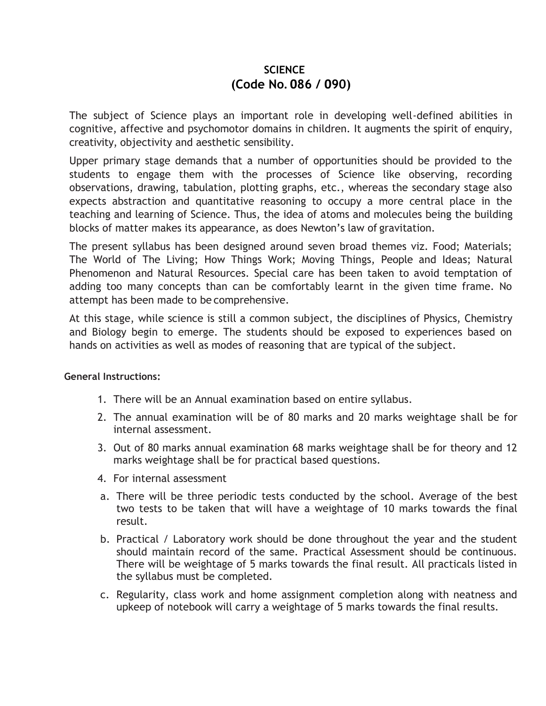# **SCIENCE (Code No. 086 / 090)**

The subject of Science plays an important role in developing well-defined abilities in cognitive, affective and psychomotor domains in children. It augments the spirit of enquiry, creativity, objectivity and aesthetic sensibility.

Upper primary stage demands that a number of opportunities should be provided to the students to engage them with the processes of Science like observing, recording observations, drawing, tabulation, plotting graphs, etc., whereas the secondary stage also expects abstraction and quantitative reasoning to occupy a more central place in the teaching and learning of Science. Thus, the idea of atoms and molecules being the building blocks of matter makes its appearance, as does Newton's law of gravitation.

The present syllabus has been designed around seven broad themes viz. Food; Materials; The World of The Living; How Things Work; Moving Things, People and Ideas; Natural Phenomenon and Natural Resources. Special care has been taken to avoid temptation of adding too many concepts than can be comfortably learnt in the given time frame. No attempt has been made to be comprehensive.

At this stage, while science is still a common subject, the disciplines of Physics, Chemistry and Biology begin to emerge. The students should be exposed to experiences based on hands on activities as well as modes of reasoning that are typical of the subject.

#### **General Instructions:**

- 1. There will be an Annual examination based on entire syllabus.
- 2. The annual examination will be of 80 marks and 20 marks weightage shall be for internal assessment.
- 3. Out of 80 marks annual examination 68 marks weightage shall be for theory and 12 marks weightage shall be for practical based questions.
- 4. For internal assessment
- a. There will be three periodic tests conducted by the school. Average of the best two tests to be taken that will have a weightage of 10 marks towards the final result.
- b. Practical / Laboratory work should be done throughout the year and the student should maintain record of the same. Practical Assessment should be continuous. There will be weightage of 5 marks towards the final result. All practicals listed in the syllabus must be completed.
- c. Regularity, class work and home assignment completion along with neatness and upkeep of notebook will carry a weightage of 5 marks towards the final results.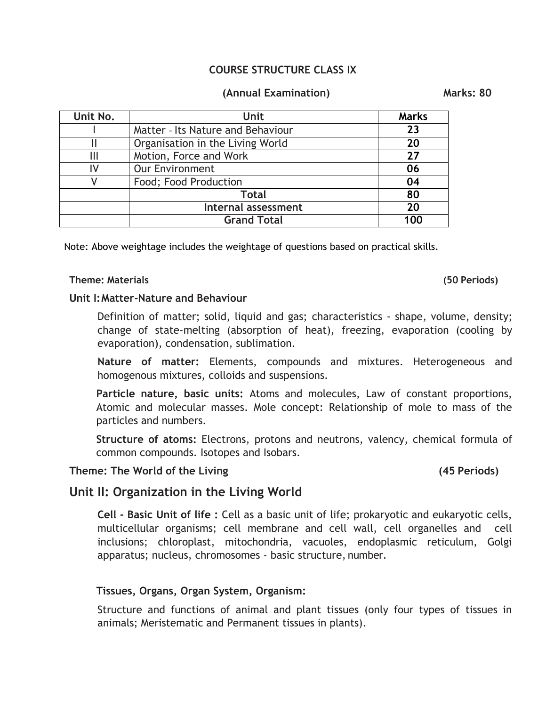### **COURSE STRUCTURE CLASS IX**

### **(Annual Examination) Marks: 80**

| Unit No.            | <b>Unit</b>                       | <b>Marks</b> |
|---------------------|-----------------------------------|--------------|
|                     | Matter - Its Nature and Behaviour | 23           |
|                     | Organisation in the Living World  | 20           |
| Ш                   | Motion, Force and Work            | 27           |
| IV                  | <b>Our Environment</b>            | 06           |
|                     | Food; Food Production             | 04           |
|                     | <b>Total</b>                      |              |
| Internal assessment |                                   | 20           |
|                     | <b>Grand Total</b>                | 100          |

Note: Above weightage includes the weightage of questions based on practical skills.

#### **Theme: Materials (50 Periods)**

#### **Unit I:Matter-Nature and Behaviour**

Definition of matter; solid, liquid and gas; characteristics - shape, volume, density; change of state-melting (absorption of heat), freezing, evaporation (cooling by evaporation), condensation, sublimation.

**Nature of matter:** Elements, compounds and mixtures. Heterogeneous and homogenous mixtures, colloids and suspensions.

**Particle nature, basic units:** Atoms and molecules, Law of constant proportions, Atomic and molecular masses. Mole concept: Relationship of mole to mass of the particles and numbers.

**Structure of atoms:** Electrons, protons and neutrons, valency, chemical formula of common compounds. Isotopes and Isobars.

#### **Theme: The World of the Living (45 Periods)**

## **Unit II: Organization in the Living World**

**Cell - Basic Unit of life :** Cell as a basic unit of life; prokaryotic and eukaryotic cells, multicellular organisms; cell membrane and cell wall, cell organelles and cell inclusions; chloroplast, mitochondria, vacuoles, endoplasmic reticulum, Golgi apparatus; nucleus, chromosomes - basic structure, number.

### **Tissues, Organs, Organ System, Organism:**

Structure and functions of animal and plant tissues (only four types of tissues in animals; Meristematic and Permanent tissues in plants).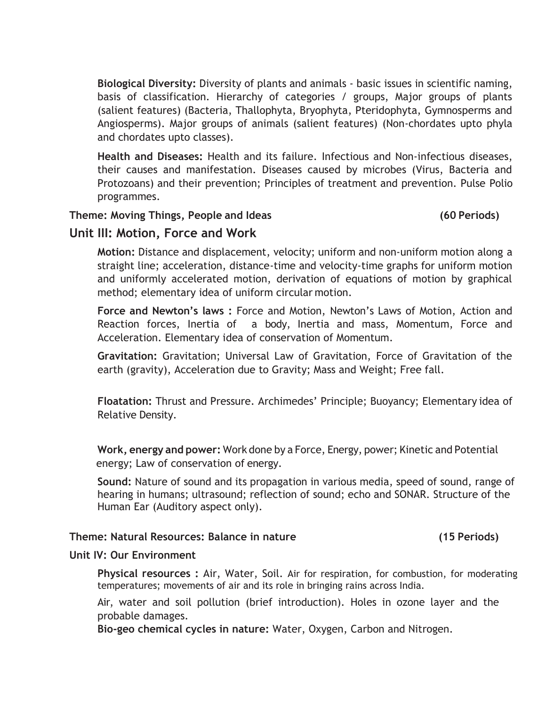**Biological Diversity:** Diversity of plants and animals - basic issues in scientific naming, basis of classification. Hierarchy of categories / groups, Major groups of plants (salient features) (Bacteria, Thallophyta, Bryophyta, Pteridophyta, Gymnosperms and Angiosperms). Major groups of animals (salient features) (Non-chordates upto phyla and chordates upto classes).

**Health and Diseases:** Health and its failure. Infectious and Non-infectious diseases, their causes and manifestation. Diseases caused by microbes (Virus, Bacteria and Protozoans) and their prevention; Principles of treatment and prevention. Pulse Polio programmes.

### **Theme: Moving Things, People and Ideas (60 Periods)**

## **Unit III: Motion, Force and Work**

**Motion:** Distance and displacement, velocity; uniform and non-uniform motion along a straight line; acceleration, distance-time and velocity-time graphs for uniform motion and uniformly accelerated motion, derivation of equations of motion by graphical method; elementary idea of uniform circular motion.

**Force and Newton's laws :** Force and Motion, Newton's Laws of Motion, Action and Reaction forces, Inertia of a body, Inertia and mass, Momentum, Force and Acceleration. Elementary idea of conservation of Momentum.

**Gravitation:** Gravitation; Universal Law of Gravitation, Force of Gravitation of the earth (gravity), Acceleration due to Gravity; Mass and Weight; Free fall.

**Floatation:** Thrust and Pressure. Archimedes' Principle; Buoyancy; Elementary idea of Relative Density.

**Work, energy and power:** Work done by a Force, Energy, power; Kinetic and Potential energy; Law of conservation of energy.

**Sound:** Nature of sound and its propagation in various media, speed of sound, range of hearing in humans; ultrasound; reflection of sound; echo and SONAR. Structure of the Human Ear (Auditory aspect only).

#### **Theme: Natural Resources: Balance in nature (15 Periods)**

### **Unit IV: Our Environment**

**Physical resources :** Air, Water, Soil. Air for respiration, for combustion, for moderating temperatures; movements of air and its role in bringing rains across India.

Air, water and soil pollution (brief introduction). Holes in ozone layer and the probable damages.

**Bio-geo chemical cycles in nature:** Water, Oxygen, Carbon and Nitrogen.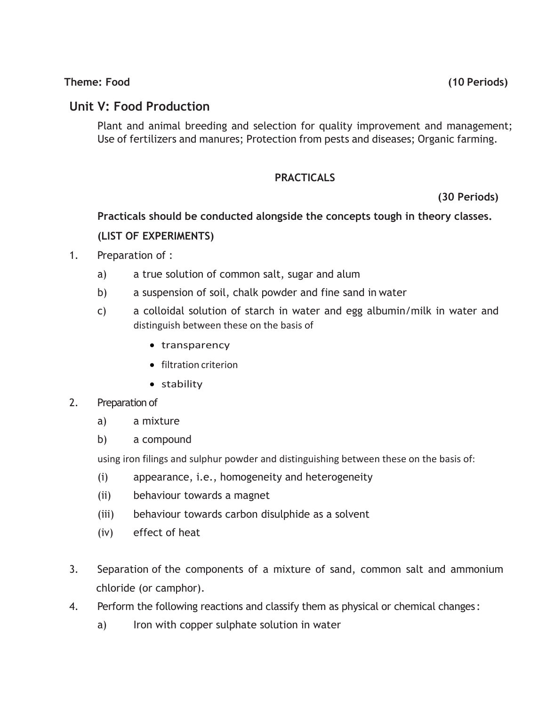## **Theme: Food (10 Periods)**

## **Unit V: Food Production**

Plant and animal breeding and selection for quality improvement and management; Use of fertilizers and manures; Protection from pests and diseases; Organic farming.

## **PRACTICALS**

 **(30 Periods)**

**Practicals should be conducted alongside the concepts tough in theory classes.** 

## **(LIST OF EXPERIMENTS)**

- 1. Preparation of :
	- a) a true solution of common salt, sugar and alum
	- b) a suspension of soil, chalk powder and fine sand in water
	- c) a colloidal solution of starch in water and egg albumin/milk in water and distinguish between these on the basis of
		- transparency
		- filtration criterion
		- stability

### 2. Preparation of

- a) a mixture
- b) a compound

using iron filings and sulphur powder and distinguishing between these on the basis of:

- (i) appearance, i.e., homogeneity and heterogeneity
- (ii) behaviour towards a magnet
- (iii) behaviour towards carbon disulphide as a solvent
- (iv) effect of heat
- 3. Separation of the components of a mixture of sand, common salt and ammonium chloride (or camphor).
- 4. Perform the following reactions and classify them as physical or chemical changes :
	- a) Iron with copper sulphate solution in water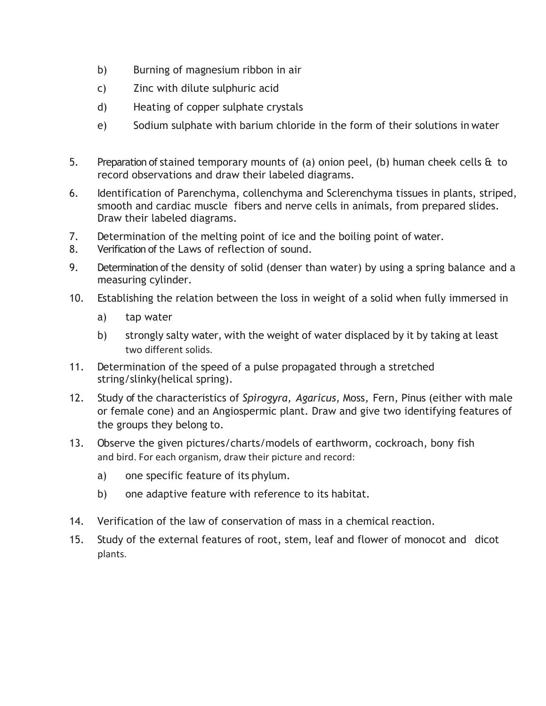- b) Burning of magnesium ribbon in air
- c) Zinc with dilute sulphuric acid
- d) Heating of copper sulphate crystals
- e) Sodium sulphate with barium chloride in the form of their solutions in water
- 5. Preparation of stained temporary mounts of (a) onion peel, (b) human cheek cells & to record observations and draw their labeled diagrams.
- 6. Identification of Parenchyma, collenchyma and Sclerenchyma tissues in plants, striped, smooth and cardiac muscle fibers and nerve cells in animals, from prepared slides. Draw their labeled diagrams.
- 7. Determination of the melting point of ice and the boiling point of water.
- 8. Verification of the Laws of reflection of sound.
- 9. Determination of the density of solid (denser than water) by using a spring balance and a measuring cylinder.
- 10. Establishing the relation between the loss in weight of a solid when fully immersed in
	- a) tap water
	- b) strongly salty water, with the weight of water displaced by it by taking at least two different solids.
- 11. Determination of the speed of a pulse propagated through a stretched string/slinky(helical spring).
- 12. Study of the characteristics of *Spirogyra, Agaricus*, Moss, Fern, Pinus (either with male or female cone) and an Angiospermic plant. Draw and give two identifying features of the groups they belong to.
- 13. Observe the given pictures/charts/models of earthworm, cockroach, bony fish and bird. For each organism, draw their picture and record:
	- a) one specific feature of its phylum.
	- b) one adaptive feature with reference to its habitat.
- 14. Verification of the law of conservation of mass in a chemical reaction.
- 15. Study of the external features of root, stem, leaf and flower of monocot and dicot plants.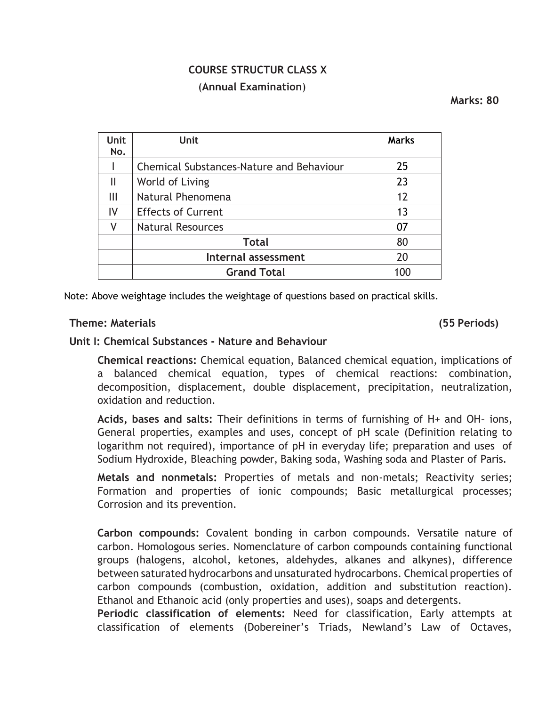# **COURSE STRUCTUR CLASS X** (**Annual Examination**)

 **Marks: 80**

| <b>Unit</b><br>No. | <b>Unit</b>                              | <b>Marks</b>   |
|--------------------|------------------------------------------|----------------|
|                    | Chemical Substances-Nature and Behaviour | 25             |
|                    | World of Living                          | 23             |
| Ш                  | Natural Phenomena                        | 12             |
| IV                 | <b>Effects of Current</b>                | 1 <sub>3</sub> |
|                    | <b>Natural Resources</b>                 | 07             |
|                    | <b>Total</b>                             | 80             |
|                    | Internal assessment                      | 20             |
|                    | <b>Grand Total</b>                       | 100            |

Note: Above weightage includes the weightage of questions based on practical skills.

### **Theme: Materials (55 Periods)**

#### **Unit I: Chemical Substances - Nature and Behaviour**

**Chemical reactions:** Chemical equation, Balanced chemical equation, implications of a balanced chemical equation, types of chemical reactions: combination, decomposition, displacement, double displacement, precipitation, neutralization, oxidation and reduction.

**Acids, bases and salts:** Their definitions in terms of furnishing of H+ and OH– ions, General properties, examples and uses, concept of pH scale (Definition relating to logarithm not required), importance of pH in everyday life; preparation and uses of Sodium Hydroxide, Bleaching powder, Baking soda, Washing soda and Plaster of Paris.

**Metals and nonmetals:** Properties of metals and non-metals; Reactivity series; Formation and properties of ionic compounds; Basic metallurgical processes; Corrosion and its prevention.

**Carbon compounds:** Covalent bonding in carbon compounds. Versatile nature of carbon. Homologous series. Nomenclature of carbon compounds containing functional groups (halogens, alcohol, ketones, aldehydes, alkanes and alkynes), difference between saturated hydrocarbons and unsaturated hydrocarbons. Chemical properties of carbon compounds (combustion, oxidation, addition and substitution reaction). Ethanol and Ethanoic acid (only properties and uses), soaps and detergents.

**Periodic classification of elements:** Need for classification, Early attempts at classification of elements (Dobereiner's Triads, Newland's Law of Octaves,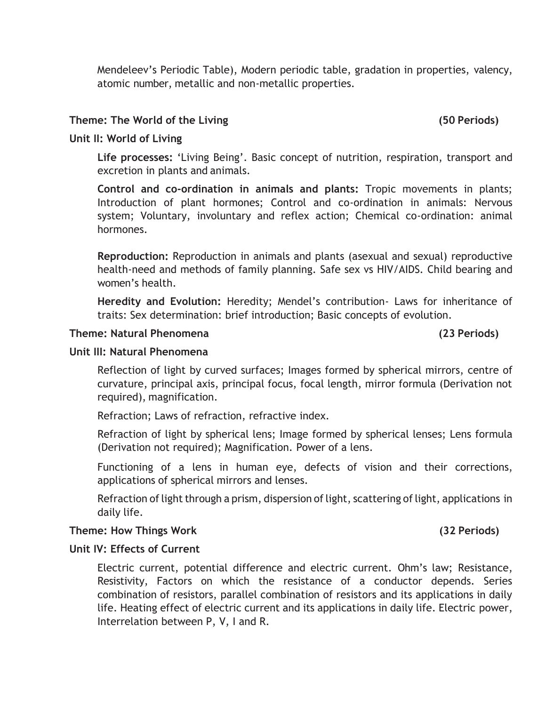Mendeleev's Periodic Table), Modern periodic table, gradation in properties, valency, atomic number, metallic and non-metallic properties.

## **Theme: The World of the Living (50 Periods)**

## **Unit II: World of Living**

**Life processes:** 'Living Being'. Basic concept of nutrition, respiration, transport and excretion in plants and animals.

**Control and co-ordination in animals and plants:** Tropic movements in plants; Introduction of plant hormones; Control and co-ordination in animals: Nervous system; Voluntary, involuntary and reflex action; Chemical co-ordination: animal hormones.

**Reproduction:** Reproduction in animals and plants (asexual and sexual) reproductive health-need and methods of family planning. Safe sex vs HIV/AIDS. Child bearing and women's health.

**Heredity and Evolution:** Heredity; Mendel's contribution- Laws for inheritance of traits: Sex determination: brief introduction; Basic concepts of evolution.

## **Theme: Natural Phenomena (23 Periods)**

## **Unit III: Natural Phenomena**

Reflection of light by curved surfaces; Images formed by spherical mirrors, centre of curvature, principal axis, principal focus, focal length, mirror formula (Derivation not required), magnification.

Refraction; Laws of refraction, refractive index.

Refraction of light by spherical lens; Image formed by spherical lenses; Lens formula (Derivation not required); Magnification. Power of a lens.

Functioning of a lens in human eye, defects of vision and their corrections, applications of spherical mirrors and lenses.

Refraction of light through a prism, dispersion of light, scattering of light, applications in daily life.

### **Theme: How Things Work (32 Periods)**

## **Unit IV: Effects of Current**

Electric current, potential difference and electric current. Ohm's law; Resistance, Resistivity, Factors on which the resistance of a conductor depends. Series combination of resistors, parallel combination of resistors and its applications in daily life. Heating effect of electric current and its applications in daily life. Electric power, Interrelation between P, V, I and R.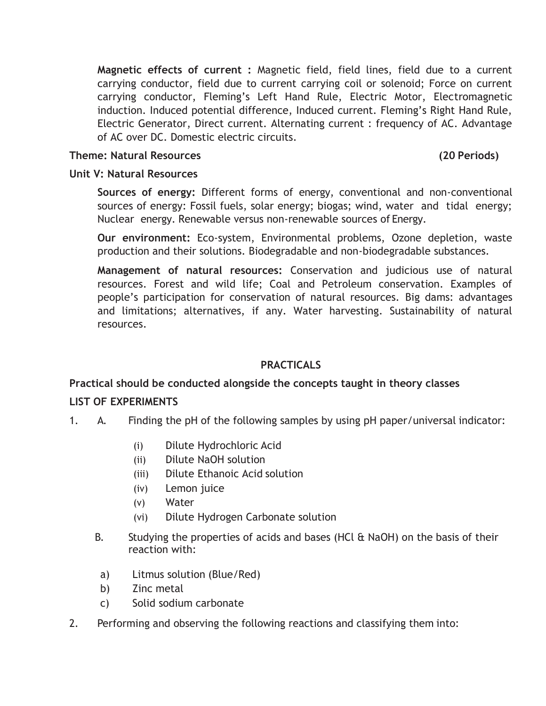**Magnetic effects of current :** Magnetic field, field lines, field due to a current carrying conductor, field due to current carrying coil or solenoid; Force on current carrying conductor, Fleming's Left Hand Rule, Electric Motor, Electromagnetic induction. Induced potential difference, Induced current. Fleming's Right Hand Rule, Electric Generator, Direct current. Alternating current : frequency of AC. Advantage of AC over DC. Domestic electric circuits.

#### **Theme: Natural Resources (20 Periods)**

### **Unit V: Natural Resources**

**Sources of energy:** Different forms of energy, conventional and non-conventional sources of energy: Fossil fuels, solar energy; biogas; wind, water and tidal energy; Nuclear energy. Renewable versus non-renewable sources of Energy.

**Our environment:** Eco-system, Environmental problems, Ozone depletion, waste production and their solutions. Biodegradable and non-biodegradable substances.

**Management of natural resources:** Conservation and judicious use of natural resources. Forest and wild life; Coal and Petroleum conservation. Examples of people's participation for conservation of natural resources. Big dams: advantages and limitations; alternatives, if any. Water harvesting. Sustainability of natural resources.

## **PRACTICALS**

### **Practical should be conducted alongside the concepts taught in theory classes**

### **LIST OF EXPERIMENTS**

- 1. A. Finding the pH of the following samples by using pH paper/universal indicator:
	- (i) Dilute Hydrochloric Acid
	- (ii) Dilute NaOH solution
	- (iii) Dilute Ethanoic Acid solution
	- (iv) Lemon juice
	- (v) Water
	- (vi) Dilute Hydrogen Carbonate solution
	- B. Studying the properties of acids and bases (HCl & NaOH) on the basis of their reaction with:
	- a) Litmus solution (Blue/Red)
	- b) Zinc metal
	- c) Solid sodium carbonate
- 2. Performing and observing the following reactions and classifying them into: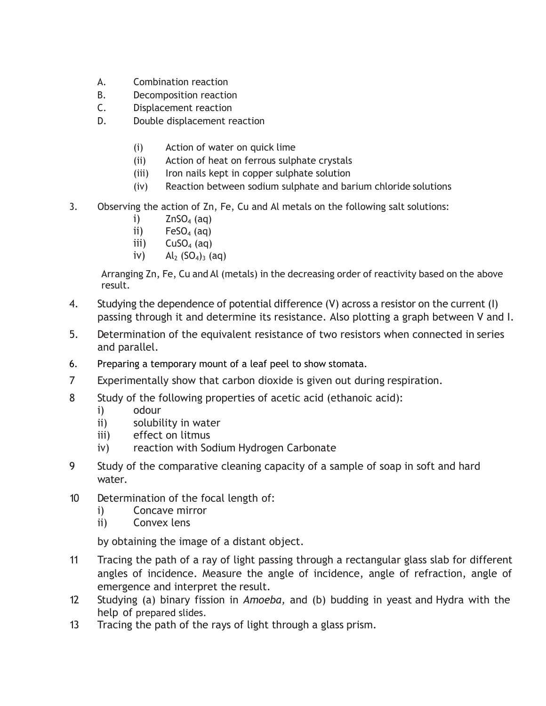- A. Combination reaction
- B. Decomposition reaction
- C. Displacement reaction
- D. Double displacement reaction
	- (i) Action of water on quick lime
	- (ii) Action of heat on ferrous sulphate crystals
	- (iii) Iron nails kept in copper sulphate solution
	- (iv) Reaction between sodium sulphate and barium chloride solutions
- 3. Observing the action of Zn, Fe, Cu and Al metals on the following salt solutions:
	- i)  $ZnSO<sub>4</sub> (aq)$
	- ii)  $FeSO<sub>4</sub> (aq)$
	- iii)  $CuSO<sub>4</sub>(aq)$
	- iv)  $Al_2 (SO_4)_3 (aq)$

Arranging Zn, Fe, Cu and Al (metals) in the decreasing order of reactivity based on the above result.

- 4. Studying the dependence of potential difference (V) across a resistor on the current (I) passing through it and determine its resistance. Also plotting a graph between V and I.
- 5. Determination of the equivalent resistance of two resistors when connected in series and parallel.
- 6. Preparing a temporary mount of a leaf peel to show stomata.
- 7 Experimentally show that carbon dioxide is given out during respiration.
- 8 Study of the following properties of acetic acid (ethanoic acid):
	- i) odour
	- ii) solubility in water
	- iii) effect on litmus
	- iv) reaction with Sodium Hydrogen Carbonate
- 9 Study of the comparative cleaning capacity of a sample of soap in soft and hard water.
- 10 Determination of the focal length of:
	- i) Concave mirror
	- ii) Convex lens

by obtaining the image of a distant object.

- 11 Tracing the path of a ray of light passing through a rectangular glass slab for different angles of incidence. Measure the angle of incidence, angle of refraction, angle of emergence and interpret the result.
- 12 Studying (a) binary fission in *Amoeba,* and (b) budding in yeast and Hydra with the help of prepared slides.
- 13 Tracing the path of the rays of light through a glass prism.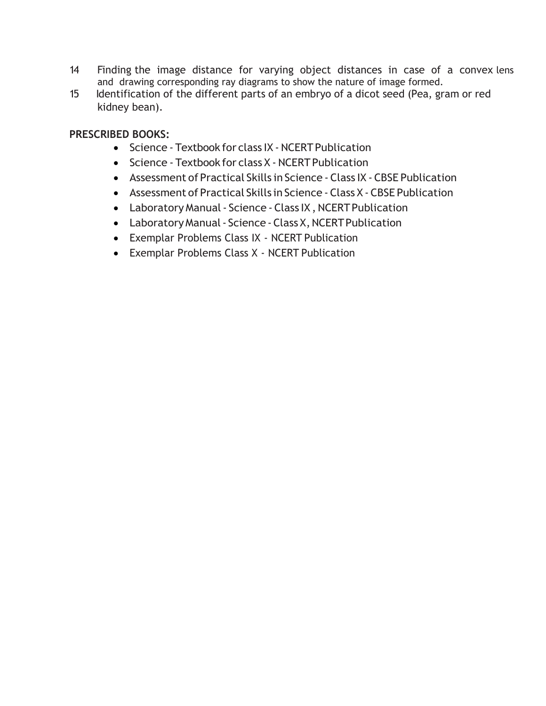- 14 Finding the image distance for varying object distances in case of a convex lens and drawing corresponding ray diagrams to show the nature of image formed.
- 15 Identification of the different parts of an embryo of a dicot seed (Pea, gram or red kidney bean).

## **PRESCRIBED BOOKS:**

- Science Textbook for class IX NCERT Publication
- Science Textbook for class X NCERT Publication
- Assessment of Practical Skills in Science Class IX CBSE Publication
- Assessment of Practical Skills in Science Class X CBSE Publication
- Laboratory Manual Science Class IX, NCERT Publication
- Laboratory Manual Science Class X, NCERT Publication
- Exemplar Problems Class IX NCERT Publication
- Exemplar Problems Class X NCERT Publication